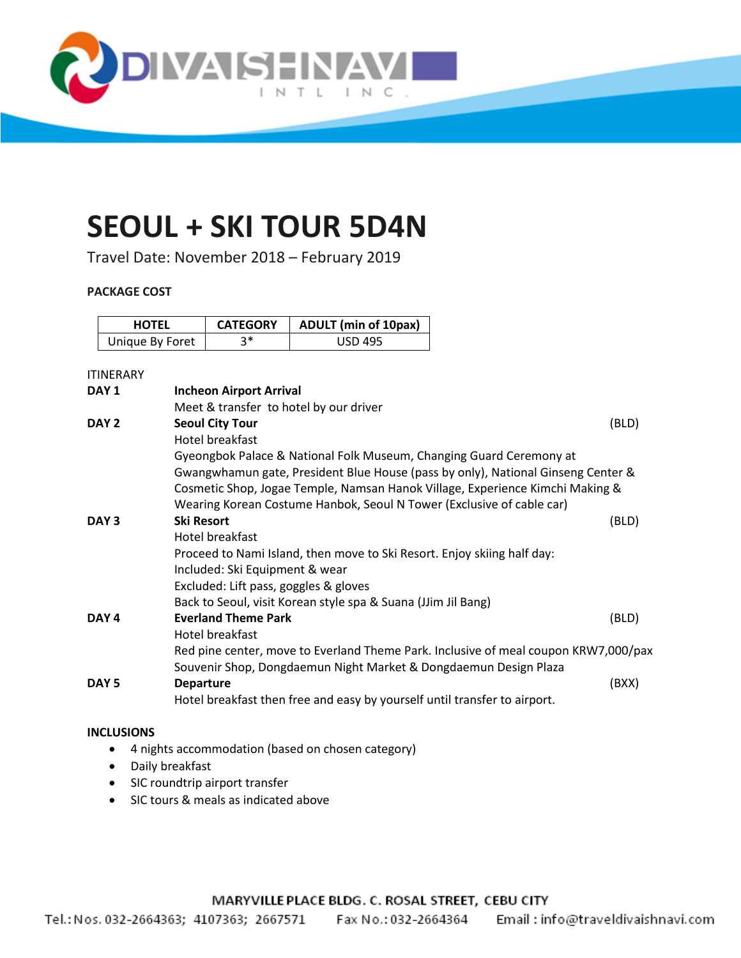

# **SEOUL + SKI TOUR 5D4N**

Travel Date: November 2018 – February 2019

## **PACKAGE COST**

| <b>HOTEL</b>    | <b>CATEGORY</b> | <b>ADULT</b> (min of 10pax) |  |
|-----------------|-----------------|-----------------------------|--|
| Unique By Foret | ?∗              | <b>USD 495</b>              |  |

## ITINERARY

| DAY <sub>1</sub> | <b>Incheon Airport Arrival</b>                                                      |       |  |
|------------------|-------------------------------------------------------------------------------------|-------|--|
|                  | Meet & transfer to hotel by our driver                                              |       |  |
| DAY 2            | <b>Seoul City Tour</b>                                                              | (BLD) |  |
|                  | Hotel breakfast                                                                     |       |  |
|                  | Gyeongbok Palace & National Folk Museum, Changing Guard Ceremony at                 |       |  |
|                  | Gwangwhamun gate, President Blue House (pass by only), National Ginseng Center &    |       |  |
|                  | Cosmetic Shop, Jogae Temple, Namsan Hanok Village, Experience Kimchi Making &       |       |  |
|                  | Wearing Korean Costume Hanbok, Seoul N Tower (Exclusive of cable car)               |       |  |
| DAY <sub>3</sub> | <b>Ski Resort</b>                                                                   | (BLD) |  |
|                  | Hotel breakfast                                                                     |       |  |
|                  | Proceed to Nami Island, then move to Ski Resort. Enjoy skiing half day:             |       |  |
|                  | Included: Ski Equipment & wear                                                      |       |  |
|                  | Excluded: Lift pass, goggles & gloves                                               |       |  |
|                  | Back to Seoul, visit Korean style spa & Suana (JJim Jil Bang)                       |       |  |
| DAY <sub>4</sub> | <b>Everland Theme Park</b>                                                          | (BLD) |  |
|                  | Hotel breakfast                                                                     |       |  |
|                  | Red pine center, move to Everland Theme Park. Inclusive of meal coupon KRW7,000/pax |       |  |
|                  | Souvenir Shop, Dongdaemun Night Market & Dongdaemun Design Plaza                    |       |  |
| DAY <sub>5</sub> | <b>Departure</b>                                                                    | (BXX) |  |
|                  | Hotel breakfast then free and easy by yourself until transfer to airport.           |       |  |

#### **INCLUSIONS**

- 4 nights accommodation (based on chosen category)
- Daily breakfast
- SIC roundtrip airport transfer
- SIC tours & meals as indicated above

MARYVILLE PLACE BLDG. C. ROSAL STREET, CEBU CITY